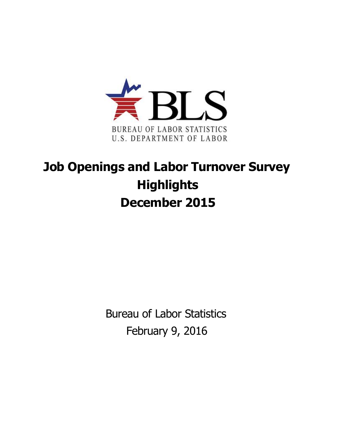

## **Job Openings and Labor Turnover Survey Highlights December 2015**

Bureau of Labor Statistics February 9, 2016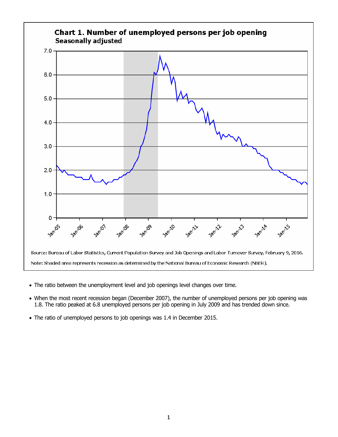

- The ratio between the unemployment level and job openings level changes over time.
- When the most recent recession began (December 2007), the number of unemployed persons per job opening was 1.8. The ratio peaked at 6.8 unemployed persons per job opening in July 2009 and has trended down since.
- The ratio of unemployed persons to job openings was 1.4 in December 2015.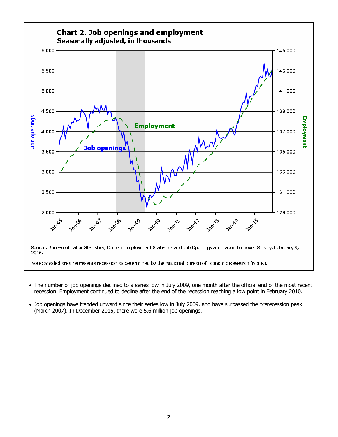

- The number of job openings declined to a series low in July 2009, one month after the official end of the most recent recession. Employment continued to decline after the end of the recession reaching a low point in February 2010.
- Job openings have trended upward since their series low in July 2009, and have surpassed the prerecession peak (March 2007). In December 2015, there were 5.6 million job openings.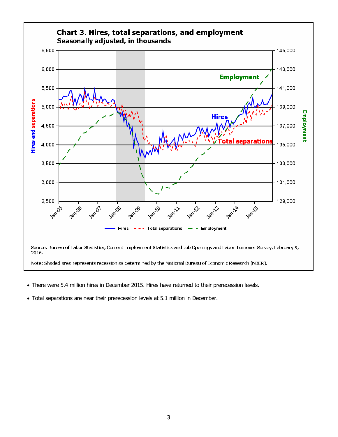

- There were 5.4 million hires in December 2015. Hires have returned to their prerecession levels.
- Total separations are near their prerecession levels at 5.1 million in December.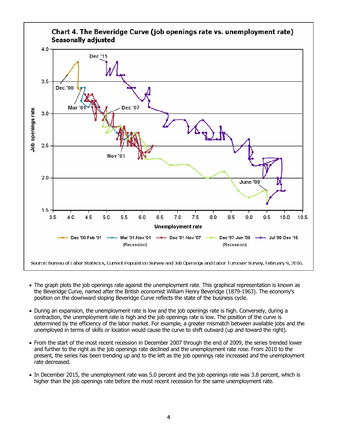

- The graph plots the job openings rate against the unemployment rate. This graphical representation is known as the Beveridge Curve, named after the British economist William Henry Beveridge (1879-1963). The economy's position on the downward sloping Beveridge Curve reflects the state of the business cycle.
- During an expansion, the unemployment rate is low and the job openings rate is high. Conversely, during a contraction, the unemployment rate is high and the job openings rate is low. The position of the curve is determined by the efficiency of the labor market. For example, a greater mismatch between available jobs and the unemployed in terms of skills or location would cause the curve to shift outward (up and toward the right).
- From the start of the most recent recession in December 2007 through the end of 2009, the series trended lower and further to the right as the job openings rate declined and the unemployment rate rose. From 2010 to the present, the series has been trending up and to the left as the job openings rate increased and the unemployment rate decreased.
- In December 2015, the unemployment rate was 5.0 percent and the job openings rate was 3.8 percent, which is higher than the job openings rate before the most recent recession for the same unemployment rate.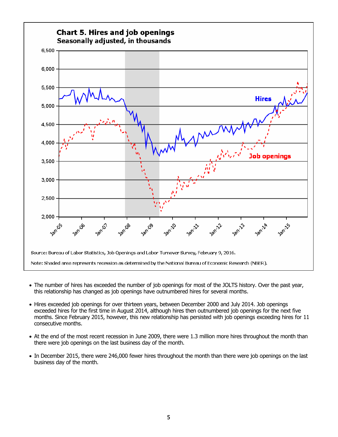

- The number of hires has exceeded the number of job openings for most of the JOLTS history. Over the past year, this relationship has changed as job openings have outnumbered hires for several months.
- Hires exceeded job openings for over thirteen years, between December 2000 and July 2014. Job openings exceeded hires for the first time in August 2014, although hires then outnumbered job openings for the next five months. Since February 2015, however, this new relationship has persisted with job openings exceeding hires for 11 consecutive months.
- At the end of the most recent recession in June 2009, there were 1.3 million more hires throughout the month than there were job openings on the last business day of the month.
- In December 2015, there were 246,000 fewer hires throughout the month than there were job openings on the last business day of the month.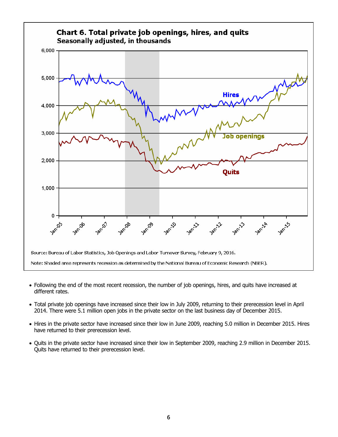

- Following the end of the most recent recession, the number of job openings, hires, and quits have increased at different rates.
- Total private job openings have increased since their low in July 2009, returning to their prerecession level in April 2014. There were 5.1 million open jobs in the private sector on the last business day of December 2015.
- Hires in the private sector have increased since their low in June 2009, reaching 5.0 million in December 2015. Hires have returned to their prerecession level.
- Quits in the private sector have increased since their low in September 2009, reaching 2.9 million in December 2015. Quits have returned to their prerecession level.